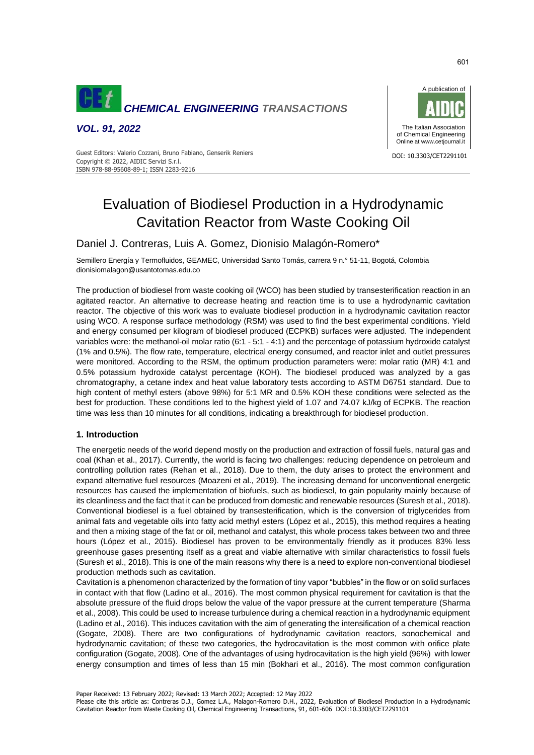

*VOL. 91, 2022*



Guest Editors: Valerio Cozzani, Bruno Fabiano, Genserik Reniers<br>Charles Constantino Correspondent and the constant of the constant of the constant of the constant of the const Copyright © 2022, AIDIC Servizi S.r.l. ISBN 978-88-95608-89-1; ISSN 2283-9216

# Evaluation of Biodiesel Production in a Hydrodynamic Cavitation Reactor from Waste Cooking Oil

### Daniel J. Contreras, Luis A. Gomez, Dionisio Malagón-Romero\*

Semillero Energía y Termofluidos, GEAMEC, Universidad Santo Tomás, carrera 9 n.° 51-11, Bogotá, Colombia dionisiomalagon@usantotomas.edu.co

The production of biodiesel from waste cooking oil (WCO) has been studied by transesterification reaction in an agitated reactor. An alternative to decrease heating and reaction time is to use a hydrodynamic cavitation reactor. The objective of this work was to evaluate biodiesel production in a hydrodynamic cavitation reactor using WCO. A response surface methodology (RSM) was used to find the best experimental conditions. Yield and energy consumed per kilogram of biodiesel produced (ECPKB) surfaces were adjusted. The independent variables were: the methanol-oil molar ratio (6:1 - 5:1 - 4:1) and the percentage of potassium hydroxide catalyst (1% and 0.5%). The flow rate, temperature, electrical energy consumed, and reactor inlet and outlet pressures were monitored. According to the RSM, the optimum production parameters were: molar ratio (MR) 4:1 and 0.5% potassium hydroxide catalyst percentage (KOH). The biodiesel produced was analyzed by a gas chromatography, a cetane index and heat value laboratory tests according to ASTM D6751 standard. Due to high content of methyl esters (above 98%) for 5:1 MR and 0.5% KOH these conditions were selected as the best for production. These conditions led to the highest yield of 1.07 and 74.07 kJ/kg of ECPKB. The reaction time was less than 10 minutes for all conditions, indicating a breakthrough for biodiesel production.

### **1. Introduction**

The energetic needs of the world depend mostly on the production and extraction of fossil fuels, natural gas and coal (Khan et al., 2017). Currently, the world is facing two challenges: reducing dependence on petroleum and controlling pollution rates (Rehan et al., 2018). Due to them, the duty arises to protect the environment and expand alternative fuel resources (Moazeni et al., 2019). The increasing demand for unconventional energetic resources has caused the implementation of biofuels, such as biodiesel, to gain popularity mainly because of its cleanliness and the fact that it can be produced from domestic and renewable resources (Suresh et al., 2018). Conventional biodiesel is a fuel obtained by transesterification, which is the conversion of triglycerides from animal fats and vegetable oils into fatty acid methyl esters (López et al., 2015), this method requires a heating and then a mixing stage of the fat or oil, methanol and catalyst, this whole process takes between two and three hours (López et al., 2015). Biodiesel has proven to be environmentally friendly as it produces 83% less greenhouse gases presenting itself as a great and viable alternative with similar characteristics to fossil fuels (Suresh et al., 2018). This is one of the main reasons why there is a need to explore non-conventional biodiesel production methods such as cavitation.

Cavitation is a phenomenon characterized by the formation of tiny vapor "bubbles" in the flow or on solid surfaces in contact with that flow (Ladino et al., 2016). The most common physical requirement for cavitation is that the absolute pressure of the fluid drops below the value of the vapor pressure at the current temperature (Sharma et al., 2008). This could be used to increase turbulence during a chemical reaction in a hydrodynamic equipment (Ladino et al., 2016). This induces cavitation with the aim of generating the intensification of a chemical reaction (Gogate, 2008). There are two configurations of hydrodynamic cavitation reactors, sonochemical and hydrodynamic cavitation; of these two categories, the hydrocavitation is the most common with orifice plate configuration (Gogate, 2008). One of the advantages of using hydrocavitation is the high yield (96%) with lower energy consumption and times of less than 15 min (Bokhari et al., 2016). The most common configuration

Please cite this article as: Contreras D.J., Gomez L.A., Malagon-Romero D.H., 2022, Evaluation of Biodiesel Production in a Hydrodynamic Cavitation Reactor from Waste Cooking Oil, Chemical Engineering Transactions, 91, 601-606 DOI:10.3303/CET2291101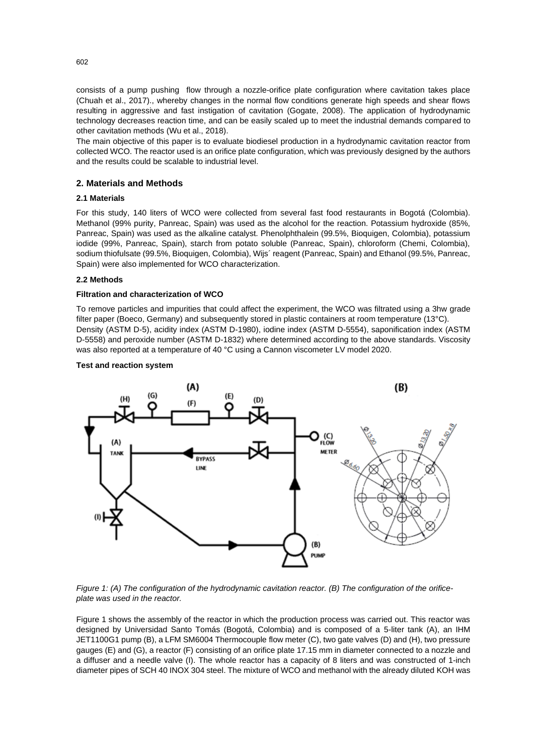consists of a pump pushing flow through a nozzle-orifice plate configuration where cavitation takes place (Chuah et al., 2017)., whereby changes in the normal flow conditions generate high speeds and shear flows resulting in aggressive and fast instigation of cavitation (Gogate, 2008). The application of hydrodynamic technology decreases reaction time, and can be easily scaled up to meet the industrial demands compared to other cavitation methods (Wu et al., 2018).

The main objective of this paper is to evaluate biodiesel production in a hydrodynamic cavitation reactor from collected WCO. The reactor used is an orifice plate configuration, which was previously designed by the authors and the results could be scalable to industrial level.

### **2. Materials and Methods**

### **2.1 Materials**

For this study, 140 liters of WCO were collected from several fast food restaurants in Bogotá (Colombia). Methanol (99% purity, Panreac, Spain) was used as the alcohol for the reaction. Potassium hydroxide (85%, Panreac, Spain) was used as the alkaline catalyst. Phenolphthalein (99.5%, Bioquigen, Colombia), potassium iodide (99%, Panreac, Spain), starch from potato soluble (Panreac, Spain), chloroform (Chemi, Colombia), sodium thiofulsate (99.5%, Bioquigen, Colombia), Wijs´ reagent (Panreac, Spain) and Ethanol (99.5%, Panreac, Spain) were also implemented for WCO characterization.

### **2.2 Methods**

### **Filtration and characterization of WCO**

To remove particles and impurities that could affect the experiment, the WCO was filtrated using a 3hw grade filter paper (Boeco, Germany) and subsequently stored in plastic containers at room temperature (13°C). Density (ASTM D-5), acidity index (ASTM D-1980), iodine index (ASTM D-5554), saponification index (ASTM D-5558) and peroxide number (ASTM D-1832) where determined according to the above standards. Viscosity was also reported at a temperature of 40 °C using a Cannon viscometer LV model 2020.

### **Test and reaction system**



*Figure 1: (A) The configuration of the hydrodynamic cavitation reactor. (B) The configuration of the orificeplate was used in the reactor.*

Figure 1 shows the assembly of the reactor in which the production process was carried out. This reactor was designed by Universidad Santo Tomás (Bogotá, Colombia) and is composed of a 5-liter tank (A), an IHM JET1100G1 pump (B), a LFM SM6004 Thermocouple flow meter (C), two gate valves (D) and (H), two pressure gauges (E) and (G), a reactor (F) consisting of an orifice plate 17.15 mm in diameter connected to a nozzle and a diffuser and a needle valve (I). The whole reactor has a capacity of 8 liters and was constructed of 1-inch diameter pipes of SCH 40 INOX 304 steel. The mixture of WCO and methanol with the already diluted KOH was

602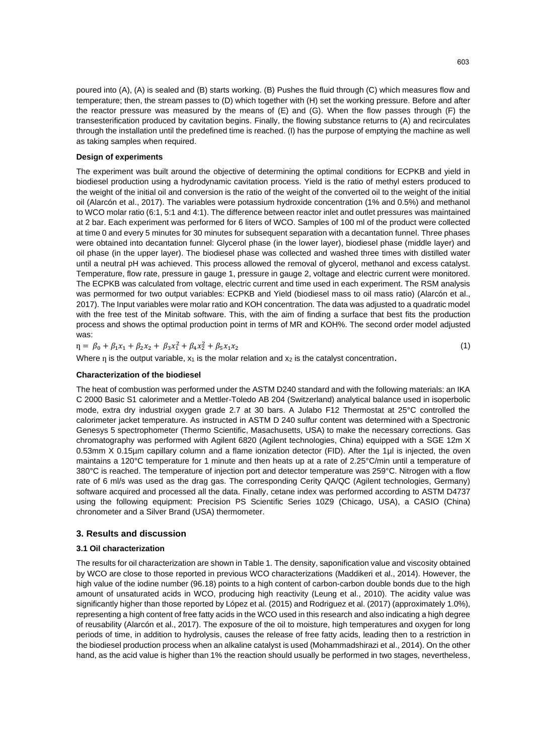poured into (A), (A) is sealed and (B) starts working. (B) Pushes the fluid through (C) which measures flow and temperature; then, the stream passes to (D) which together with (H) set the working pressure. Before and after the reactor pressure was measured by the means of (E) and (G). When the flow passes through (F) the transesterification produced by cavitation begins. Finally, the flowing substance returns to (A) and recirculates through the installation until the predefined time is reached. (I) has the purpose of emptying the machine as well as taking samples when required.

### **Design of experiments**

The experiment was built around the objective of determining the optimal conditions for ECPKB and yield in biodiesel production using a hydrodynamic cavitation process. Yield is the ratio of methyl esters produced to the weight of the initial oil and conversion is the ratio of the weight of the converted oil to the weight of the initial oil (Alarcón et al., 2017). The variables were potassium hydroxide concentration (1% and 0.5%) and methanol to WCO molar ratio (6:1, 5:1 and 4:1). The difference between reactor inlet and outlet pressures was maintained at 2 bar. Each experiment was performed for 6 liters of WCO. Samples of 100 ml of the product were collected at time 0 and every 5 minutes for 30 minutes for subsequent separation with a decantation funnel. Three phases were obtained into decantation funnel: Glycerol phase (in the lower layer), biodiesel phase (middle layer) and oil phase (in the upper layer). The biodiesel phase was collected and washed three times with distilled water until a neutral pH was achieved. This process allowed the removal of glycerol, methanol and excess catalyst. Temperature, flow rate, pressure in gauge 1, pressure in gauge 2, voltage and electric current were monitored. The ECPKB was calculated from voltage, electric current and time used in each experiment. The RSM analysis was permormed for two output variables: ECPKB and Yield (biodiesel mass to oil mass ratio) (Alarcón et al., 2017). The Input variables were molar ratio and KOH concentration. The data was adjusted to a quadratic model with the free test of the Minitab software. This, with the aim of finding a surface that best fits the production process and shows the optimal production point in terms of MR and KOH%. The second order model adjusted was:

 $\eta = \beta_0 + \beta_1 x_1 + \beta_2 x_2 + \beta_3 x_1^2 + \beta_4 x_2^2 + \beta_5 x_1 x_2$  (1)

## Where  $n_i$  is the output variable,  $x_1$  is the molar relation and  $x_2$  is the catalyst concentration.

### **Characterization of the biodiesel**

The heat of combustion was performed under the ASTM D240 standard and with the following materials: an IKA C 2000 Basic S1 calorimeter and a Mettler-Toledo AB 204 (Switzerland) analytical balance used in isoperbolic mode, extra dry industrial oxygen grade 2.7 at 30 bars. A Julabo F12 Thermostat at 25°C controlled the calorimeter jacket temperature. As instructed in ASTM D 240 sulfur content was determined with a Spectronic Genesys 5 spectrophometer (Thermo Scientific, Masachusetts, USA) to make the necessary corrections. Gas chromatography was performed with Agilent 6820 (Agilent technologies, China) equipped with a SGE 12m X 0.53mm X 0.15µm capillary column and a flame ionization detector (FID). After the 1µl is injected, the oven maintains a 120°C temperature for 1 minute and then heats up at a rate of 2.25°C/min until a temperature of 380°C is reached. The temperature of injection port and detector temperature was 259°C. Nitrogen with a flow rate of 6 ml/s was used as the drag gas. The corresponding Cerity QA/QC (Agilent technologies, Germany) software acquired and processed all the data. Finally, cetane index was performed according to ASTM D4737 using the following equipment: Precision PS Scientific Series 10Z9 (Chicago, USA), a CASIO (China) chronometer and a Silver Brand (USA) thermometer.

### **3. Results and discussion**

### **3.1 Oil characterization**

The results for oil characterization are shown in Table 1. The density, saponification value and viscosity obtained by WCO are close to those reported in previous WCO characterizations (Maddikeri et al., 2014). However, the high value of the iodine number (96.18) points to a high content of carbon-carbon double bonds due to the high amount of unsaturated acids in WCO, producing high reactivity (Leung et al., 2010). The acidity value was significantly higher than those reported by López et al. (2015) and Rodriguez et al. (2017) (approximately 1.0%), representing a high content of free fatty acids in the WCO used in this research and also indicating a high degree of reusability (Alarcón et al., 2017). The exposure of the oil to moisture, high temperatures and oxygen for long periods of time, in addition to hydrolysis, causes the release of free fatty acids, leading then to a restriction in the biodiesel production process when an alkaline catalyst is used (Mohammadshirazi et al., 2014). On the other hand, as the acid value is higher than 1% the reaction should usually be performed in two stages, nevertheless,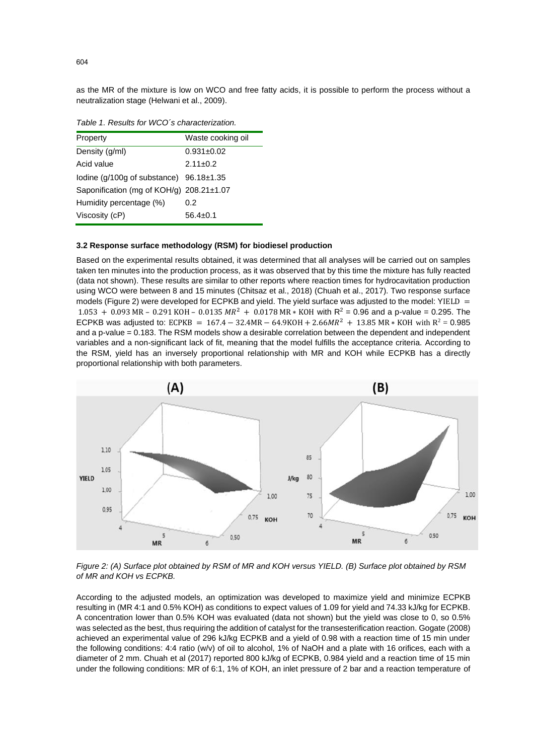as the MR of the mixture is low on WCO and free fatty acids, it is possible to perform the process without a neutralization stage (Helwani et al., 2009).

| Property                                          | Waste cooking oil |
|---------------------------------------------------|-------------------|
| Density (g/ml)                                    | $0.931 \pm 0.02$  |
| Acid value                                        | $2.11 \pm 0.2$    |
| lodine ( $q/100q$ of substance) $96.18 \pm 1.35$  |                   |
| Saponification (mg of $KOH/g$ ) 208.21 $\pm$ 1.07 |                   |
| Humidity percentage (%)                           | 0.2               |
| Viscosity (cP)                                    | $56.4 + 0.1$      |
|                                                   |                   |

*Table 1. Results for WCO´s characterization.*

### **3.2 Response surface methodology (RSM) for biodiesel production**

Based on the experimental results obtained, it was determined that all analyses will be carried out on samples taken ten minutes into the production process, as it was observed that by this time the mixture has fully reacted (data not shown). These results are similar to other reports where reaction times for hydrocavitation production using WCO were between 8 and 15 minutes (Chitsaz et al., 2018) (Chuah et al., 2017). Two response surface models (Figure 2) were developed for ECPKB and yield. The yield surface was adjusted to the model: YIELD =  $1.053 + 0.093$  MR – 0.291 KOH – 0.0135 MR<sup>2</sup> + 0.0178 MR  $*$  KOH with R<sup>2</sup> = 0.96 and a p-value = 0.295. The ECPKB was adjusted to: ECPKB =  $167.4 - 32.4$ MR  $- 64.9$ KOH +  $2.66$ M $R^2$  +  $13.85$  MR  $*$  KOH with R<sup>2</sup> = 0.985 and a p-value = 0.183. The RSM models show a desirable correlation between the dependent and independent variables and a non-significant lack of fit, meaning that the model fulfills the acceptance criteria. According to the RSM, yield has an inversely proportional relationship with MR and KOH while ECPKB has a directly proportional relationship with both parameters.



*Figure 2: (A) Surface plot obtained by RSM of MR and KOH versus YIELD. (B) Surface plot obtained by RSM of MR and KOH vs ECPKB.*

According to the adjusted models, an optimization was developed to maximize yield and minimize ECPKB resulting in (MR 4:1 and 0.5% KOH) as conditions to expect values of 1.09 for yield and 74.33 kJ/kg for ECPKB. A concentration lower than 0.5% KOH was evaluated (data not shown) but the yield was close to 0, so 0.5% was selected as the best, thus requiring the addition of catalyst for the transesterification reaction. Gogate (2008) achieved an experimental value of 296 kJ/kg ECPKB and a yield of 0.98 with a reaction time of 15 min under the following conditions: 4:4 ratio (w/v) of oil to alcohol, 1% of NaOH and a plate with 16 orifices, each with a diameter of 2 mm. Chuah et al (2017) reported 800 kJ/kg of ECPKB, 0.984 yield and a reaction time of 15 min under the following conditions: MR of 6:1, 1% of KOH, an inlet pressure of 2 bar and a reaction temperature of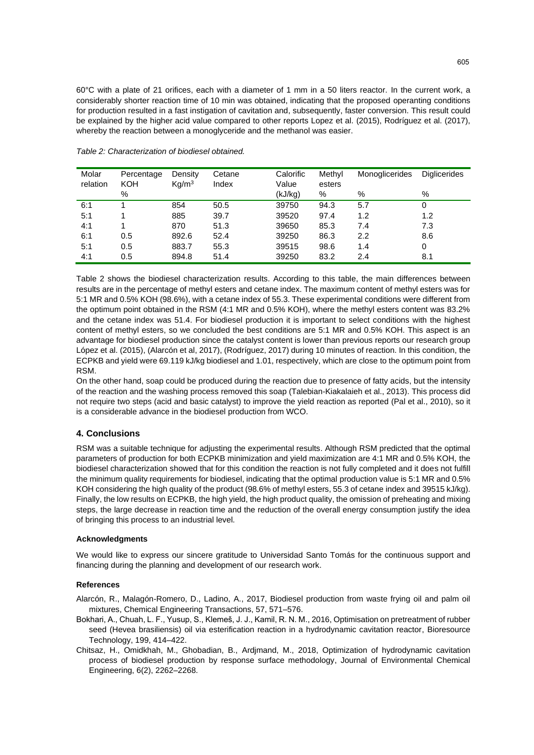60°C with a plate of 21 orifices, each with a diameter of 1 mm in a 50 liters reactor. In the current work, a considerably shorter reaction time of 10 min was obtained, indicating that the proposed operanting conditions for production resulted in a fast instigation of cavitation and, subsequently, faster conversion. This result could be explained by the higher acid value compared to other reports Lopez et al. (2015), Rodríguez et al. (2017), whereby the reaction between a monoglyceride and the methanol was easier.

| Molar<br>relation | Percentage<br><b>KOH</b> | Density<br>Ka/m <sup>3</sup> | Cetane<br>Index | Calorific<br>Value | Methyl<br>esters | Monoglicerides | <b>Diglicerides</b> |
|-------------------|--------------------------|------------------------------|-----------------|--------------------|------------------|----------------|---------------------|
|                   | %                        |                              |                 | (kJ/kg)            | %                | %              | %                   |
| 6:1               |                          | 854                          | 50.5            | 39750              | 94.3             | 5.7            | 0                   |
| 5:1               |                          | 885                          | 39.7            | 39520              | 97.4             | 1.2            | 1.2                 |
| 4:1               |                          | 870                          | 51.3            | 39650              | 85.3             | 7.4            | 7.3                 |
| 6:1               | 0.5                      | 892.6                        | 52.4            | 39250              | 86.3             | 2.2            | 8.6                 |
| 5:1               | 0.5                      | 883.7                        | 55.3            | 39515              | 98.6             | 1.4            | 0                   |
| 4:1               | 0.5                      | 894.8                        | 51.4            | 39250              | 83.2             | 2.4            | 8.1                 |

*Table 2: Characterization of biodiesel obtained.*

Table 2 shows the biodiesel characterization results. According to this table, the main differences between results are in the percentage of methyl esters and cetane index. The maximum content of methyl esters was for 5:1 MR and 0.5% KOH (98.6%), with a cetane index of 55.3. These experimental conditions were different from the optimum point obtained in the RSM (4:1 MR and 0.5% KOH), where the methyl esters content was 83.2% and the cetane index was 51.4. For biodiesel production it is important to select conditions with the highest content of methyl esters, so we concluded the best conditions are 5:1 MR and 0.5% KOH. This aspect is an advantage for biodiesel production since the catalyst content is lower than previous reports our research group López et al. (2015), (Alarcón et al, 2017), (Rodríguez, 2017) during 10 minutes of reaction. In this condition, the ECPKB and yield were 69.119 kJ/kg biodiesel and 1.01, respectively, which are close to the optimum point from RSM.

On the other hand, soap could be produced during the reaction due to presence of fatty acids, but the intensity of the reaction and the washing process removed this soap (Talebian-Kiakalaieh et al., 2013). This process did not require two steps (acid and basic catalyst) to improve the yield reaction as reported (Pal et al., 2010), so it is a considerable advance in the biodiesel production from WCO.

### **4. Conclusions**

RSM was a suitable technique for adjusting the experimental results. Although RSM predicted that the optimal parameters of production for both ECPKB minimization and yield maximization are 4:1 MR and 0.5% KOH, the biodiesel characterization showed that for this condition the reaction is not fully completed and it does not fulfill the minimum quality requirements for biodiesel, indicating that the optimal production value is 5:1 MR and 0.5% KOH considering the high quality of the product (98.6% of methyl esters, 55.3 of cetane index and 39515 kJ/kg). Finally, the low results on ECPKB, the high yield, the high product quality, the omission of preheating and mixing steps, the large decrease in reaction time and the reduction of the overall energy consumption justify the idea of bringing this process to an industrial level.

### **Acknowledgments**

We would like to express our sincere gratitude to Universidad Santo Tomás for the continuous support and financing during the planning and development of our research work.

### **References**

- Alarcón, R., Malagón-Romero, D., Ladino, A., 2017, Biodiesel production from waste frying oil and palm oil mixtures, Chemical Engineering Transactions, 57, 571–576.
- Bokhari, A., Chuah, L. F., Yusup, S., Klemeš, J. J., Kamil, R. N. M., 2016, Optimisation on pretreatment of rubber seed (Hevea brasiliensis) oil via esterification reaction in a hydrodynamic cavitation reactor, Bioresource Technology, 199, 414–422.
- Chitsaz, H., Omidkhah, M., Ghobadian, B., Ardjmand, M., 2018, Optimization of hydrodynamic cavitation process of biodiesel production by response surface methodology, Journal of Environmental Chemical Engineering, 6(2), 2262–2268.